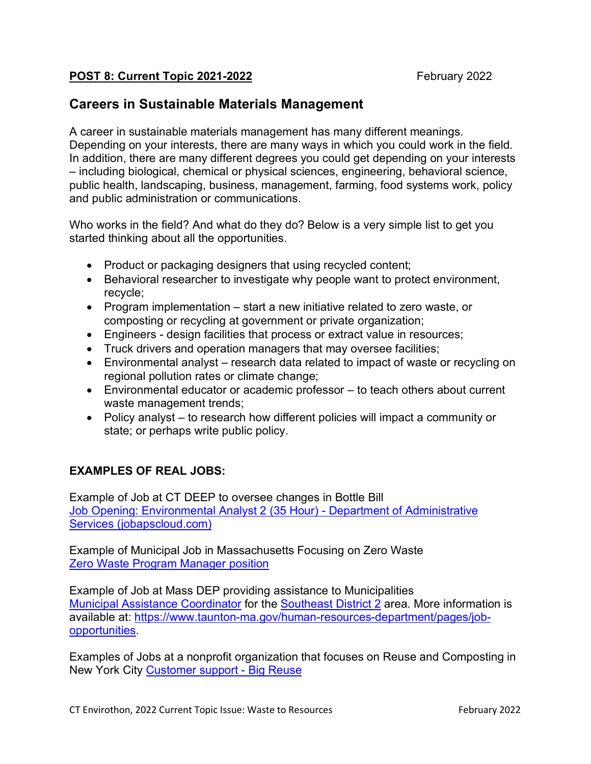#### **POST 8: Current Topic 2021-2022** February 2022

# **Careers in Sustainable Materials Management**

A career in sustainable materials management has many different meanings. Depending on your interests, there are many ways in which you could work in the field. In addition, there are many different degrees you could get depending on your interests – including biological, chemical or physical sciences, engineering, behavioral science, public health, landscaping, business, management, farming, food systems work, policy and public administration or communications.

Who works in the field? And what do they do? Below is a very simple list to get you started thinking about all the opportunities.

- Product or packaging designers that using recycled content;
- Behavioral researcher to investigate why people want to protect environment, recycle;
- Program implementation start a new initiative related to zero waste, or composting or recycling at government or private organization;
- Engineers design facilities that process or extract value in resources;
- Truck drivers and operation managers that may oversee facilities;
- Environmental analyst research data related to impact of waste or recycling on regional pollution rates or climate change;
- Environmental educator or academic professor to teach others about current waste management trends;
- Policy analyst to research how different policies will impact a community or state; or perhaps write public policy.

## **EXAMPLES OF REAL JOBS:**

Example of Job at CT DEEP to oversee changes in Bottle Bill Job Opening: Environmental Analyst 2 (35 Hour) - Department of Administrative Services (jobapscloud.com)

Example of Municipal Job in Massachusetts Focusing on Zero Waste Zero Waste Program Manager position

Example of Job at Mass DEP providing assistance to Municipalities Municipal Assistance Coordinator for the Southeast District 2 area. More information is available at: https://www.taunton-ma.gov/human-resources-department/pages/jobopportunities.

Examples of Jobs at a nonprofit organization that focuses on Reuse and Composting in New York City Customer support - Big Reuse